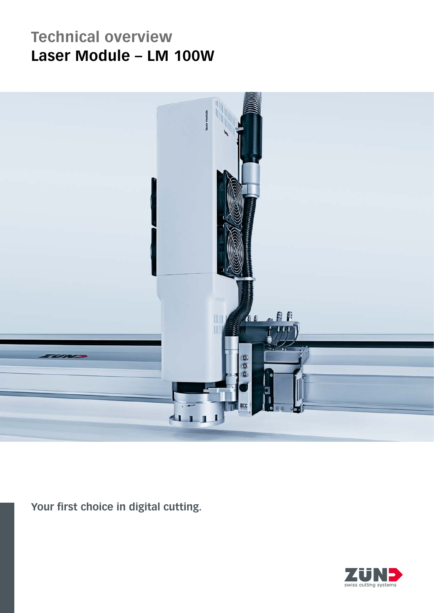## **Technical overview** Laser Module - LM 100W



Your first choice in digital cutting.

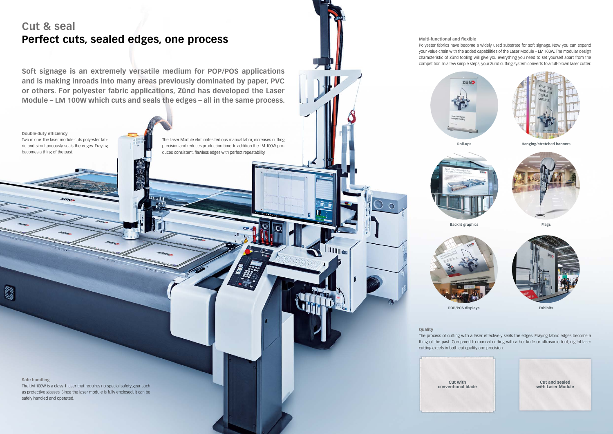## **Cut & seal Perfect cuts, sealed edges, one process**

**Soft signage is an extremely versatile medium for POP/POS applications and is making inroads into many areas previously dominated by paper, PVC or others. For polyester fabric applications, Zünd has developed the Laser Module – LM 100W which cuts and seals the edges – all in the same process.** 

## **Multi-functional and flexible**

Polyester fabrics have become a widely used substrate for soft signage. Now you can expand your value chain with the added capabilities of the Laser Module – LM 100W. The modular design characteristic of Zünd tooling will give you everything you need to set yourself apart from the competition. In a few simple steps, your Zünd cutting system converts to a full-blown laser cutter.





**Safe handling**

O

The LM 100W is a class 1 laser that requires no special safety gear such as protective glasses. Since the laser module is fully enclosed, it can be safely handled and operated.

**Double-duty efficiency** Two in one: the laser module cuts polyester fabric and simultaneously seals the edges. Fraying becomes a thing of the past.

**Quality**

The process of cutting with a laser effectively seals the edges. Fraying fabric edges become a thing of the past. Compared to manual cutting with a hot knife or ultrasonic tool, digital laser cutting excels in both cut quality and precision.

> **Cut with conventional blade**



**Roll-ups**





**Hanging/stretched banners**



**Flags**



**POP/POS displays Exhibits** 

The Laser Module eliminates tedious manual labor, increases cutting precision and reduces production time. In addition the LM 100W produces consistent, flawless edges with perfect repeatability.